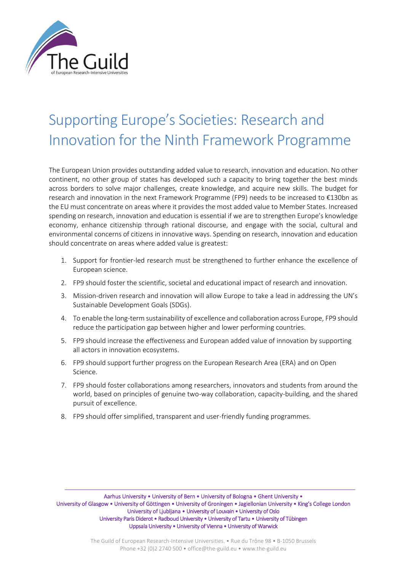

# Supporting Europe's Societies: Research and Innovation for the Ninth Framework Programme

The European Union provides outstanding added value to research, innovation and education. No other continent, no other group of states has developed such a capacity to bring together the best minds across borders to solve major challenges, create knowledge, and acquire new skills. The budget for research and innovation in the next Framework Programme (FP9) needs to be increased to €130bn as the EU must concentrate on areas where it provides the most added value to Member States. Increased spending on research, innovation and education is essential if we are to strengthen Europe's knowledge economy, enhance citizenship through rational discourse, and engage with the social, cultural and environmental concerns of citizens in innovative ways. Spending on research, innovation and education should concentrate on areas where added value is greatest:

- 1. Support for frontier-led research must be strengthened to further enhance the excellence of European science.
- 2. FP9 should foster the scientific, societal and educational impact of research and innovation.
- 3. Mission-driven research and innovation will allow Europe to take a lead in addressing the UN's Sustainable Development Goals (SDGs).
- 4. To enable the long-term sustainability of excellence and collaboration across Europe, FP9 should reduce the participation gap between higher and lower performing countries.
- 5. FP9 should increase the effectiveness and European added value of innovation by supporting all actors in innovation ecosystems.
- 6. FP9 should support further progress on the European Research Area (ERA) and on Open Science.
- 7. FP9 should foster collaborations among researchers, innovators and students from around the world, based on principles of genuine two-way collaboration, capacity-building, and the shared pursuit of excellence.
- 8. FP9 should offer simplified, transparent and user-friendly funding programmes.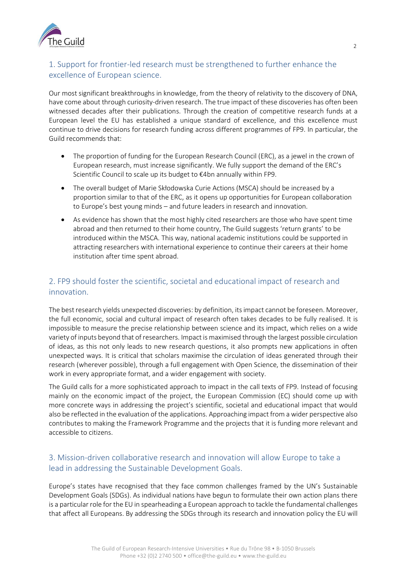

# 1. Support for frontier-led research must be strengthened to further enhance the excellence of European science.

Our most significant breakthroughs in knowledge, from the theory of relativity to the discovery of DNA, have come about through curiosity-driven research. The true impact of these discoveries has often been witnessed decades after their publications. Through the creation of competitive research funds at a European level the EU has established a unique standard of excellence, and this excellence must continue to drive decisions for research funding across different programmes of FP9. In particular, the Guild recommends that:

- The proportion of funding for the European Research Council (ERC), as a jewel in the crown of European research, must increase significantly. We fully support the demand of the ERC's Scientific Council to scale up its budget to €4bn annually within FP9.
- The overall budget of Marie Skłodowska Curie Actions (MSCA) should be increased by a proportion similar to that of the ERC, as it opens up opportunities for European collaboration to Europe's best young minds – and future leaders in research and innovation.
- As evidence has shown that the most highly cited researchers are those who have spent time abroad and then returned to their home country, The Guild suggests 'return grants' to be introduced within the MSCA. This way, national academic institutions could be supported in attracting researchers with international experience to continue their careers at their home institution after time spent abroad.

# 2. FP9 should foster the scientific, societal and educational impact of research and innovation.

The best research yields unexpected discoveries: by definition, its impact cannot be foreseen. Moreover, the full economic, social and cultural impact of research often takes decades to be fully realised. It is impossible to measure the precise relationship between science and its impact, which relies on a wide variety of inputs beyond that of researchers. Impact is maximised through the largest possible circulation of ideas, as this not only leads to new research questions, it also prompts new applications in often unexpected ways. It is critical that scholars maximise the circulation of ideas generated through their research (wherever possible), through a full engagement with Open Science, the dissemination of their work in every appropriate format, and a wider engagement with society.

The Guild calls for a more sophisticated approach to impact in the call texts of FP9. Instead of focusing mainly on the economic impact of the project, the European Commission (EC) should come up with more concrete ways in addressing the project's scientific, societal and educational impact that would also be reflected in the evaluation of the applications. Approaching impact from a wider perspective also contributes to making the Framework Programme and the projects that it is funding more relevant and accessible to citizens.

### 3. Mission-driven collaborative research and innovation will allow Europe to take a lead in addressing the Sustainable Development Goals.

Europe's states have recognised that they face common challenges framed by the UN's Sustainable Development Goals (SDGs). As individual nations have begun to formulate their own action plans there is a particular role for the EU in spearheading a European approach to tackle the fundamental challenges that affect all Europeans. By addressing the SDGs through its research and innovation policy the EU will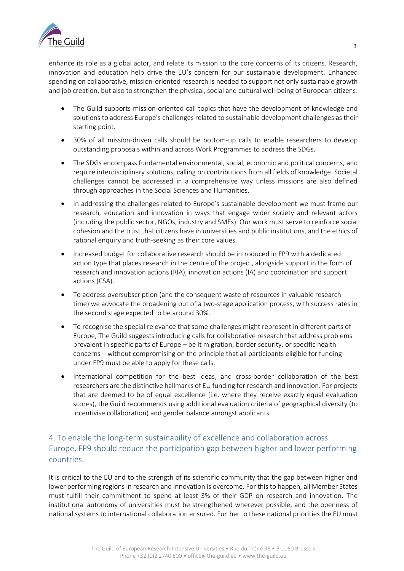

enhance its role as a global actor, and relate its mission to the core concerns of its citizens. Research, innovation and education help drive the EU's concern for our sustainable development. Enhanced spending on collaborative, mission-oriented research is needed to support not only sustainable growth and job creation, but also to strengthen the physical, social and cultural well-being of European citizens:

- The Guild supports mission-oriented call topics that have the development of knowledge and solutions to address Europe's challenges related to sustainable development challenges as their starting point.
- 30% of all mission-driven calls should be bottom-up calls to enable researchers to develop outstanding proposals within and across Work Programmes to address the SDGs.
- The SDGs encompass fundamental environmental, social, economic and political concerns, and require interdisciplinary solutions, calling on contributions from all fields of knowledge. Societal challenges cannot be addressed in a comprehensive way unless missions are also defined through approaches in the Social Sciences and Humanities.
- In addressing the challenges related to Europe's sustainable development we must frame our research, education and innovation in ways that engage wider society and relevant actors (including the public sector, NGOs, industry and SMEs). Our work must serve to reinforce social cohesion and the trust that citizens have in universities and public institutions, and the ethics of rational enquiry and truth-seeking as their core values.
- Increased budget for collaborative research should be introduced in FP9 with a dedicated action type that places research in the centre of the project, alongside support in the form of research and innovation actions (RIA), innovation actions (IA) and coordination and support actions (CSA).
- To address oversubscription (and the consequent waste of resources in valuable research time) we advocate the broadening out of a two-stage application process, with success rates in the second stage expected to be around 30%.
- To recognise the special relevance that some challenges might represent in different parts of Europe, The Guild suggests introducing calls for collaborative research that address problems prevalent in specific parts of Europe – be it migration, border security, or specific health concerns – without compromising on the principle that all participants eligible for funding under FP9 must be able to apply for these calls.
- International competition for the best ideas, and cross-border collaboration of the best researchers are the distinctive hallmarks of EU funding for research and innovation. For projects that are deemed to be of equal excellence (i.e. where they receive exactly equal evaluation scores), the Guild recommends using additional evaluation criteria of geographical diversity (to incentivise collaboration) and gender balance amongst applicants.

### 4. To enable the long-term sustainability of excellence and collaboration across Europe, FP9 should reduce the participation gap between higher and lower performing countries.

It is critical to the EU and to the strength of its scientific community that the gap between higher and lower performing regions in research and innovation is overcome. For this to happen, all Member States must fulfill their commitment to spend at least 3% of their GDP on research and innovation. The institutional autonomy of universities must be strengthened wherever possible, and the openness of national systems to international collaboration ensured. Further to these national priorities the EU must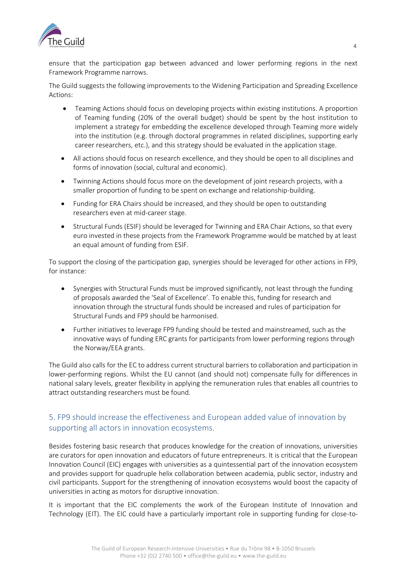

ensure that the participation gap between advanced and lower performing regions in the next Framework Programme narrows.

The Guild suggests the following improvements to the Widening Participation and Spreading Excellence Actions:

- Teaming Actions should focus on developing projects within existing institutions. A proportion of Teaming funding (20% of the overall budget) should be spent by the host institution to implement a strategy for embedding the excellence developed through Teaming more widely into the institution (e.g. through doctoral programmes in related disciplines, supporting early career researchers, etc.), and this strategy should be evaluated in the application stage.
- All actions should focus on research excellence, and they should be open to all disciplines and forms of innovation (social, cultural and economic).
- Twinning Actions should focus more on the development of joint research projects, with a smaller proportion of funding to be spent on exchange and relationship-building.
- Funding for ERA Chairs should be increased, and they should be open to outstanding researchers even at mid-career stage.
- Structural Funds (ESIF) should be leveraged for Twinning and ERA Chair Actions, so that every euro invested in these projects from the Framework Programme would be matched by at least an equal amount of funding from ESIF.

To support the closing of the participation gap, synergies should be leveraged for other actions in FP9, for instance:

- Synergies with Structural Funds must be improved significantly, not least through the funding of proposals awarded the 'Seal of Excellence'. To enable this, funding for research and innovation through the structural funds should be increased and rules of participation for Structural Funds and FP9 should be harmonised.
- Further initiatives to leverage FP9 funding should be tested and mainstreamed, such as the innovative ways of funding ERC grants for participants from lower performing regions through the Norway/EEA grants.

The Guild also calls for the EC to address current structural barriers to collaboration and participation in lower-performing regions. Whilst the EU cannot (and should not) compensate fully for differences in national salary levels, greater flexibility in applying the remuneration rules that enables all countries to attract outstanding researchers must be found.

#### 5. FP9 should increase the effectiveness and European added value of innovation by supporting all actors in innovation ecosystems.

Besides fostering basic research that produces knowledge for the creation of innovations, universities are curators for open innovation and educators of future entrepreneurs. It is critical that the European Innovation Council (EIC) engages with universities as a quintessential part of the innovation ecosystem and provides support for quadruple helix collaboration between academia, public sector, industry and civil participants. Support for the strengthening of innovation ecosystems would boost the capacity of universities in acting as motors for disruptive innovation.

It is important that the EIC complements the work of the European Institute of Innovation and Technology (EIT). The EIC could have a particularly important role in supporting funding for close-to-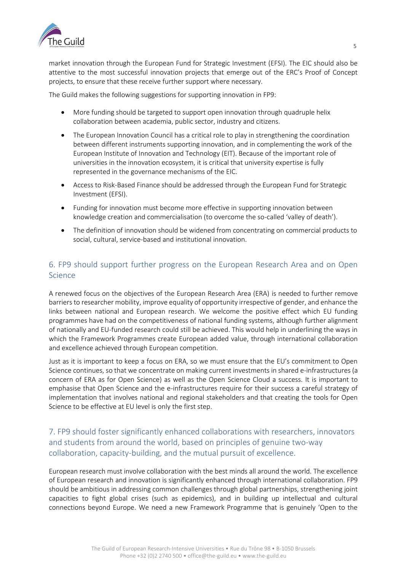

market innovation through the European Fund for Strategic Investment (EFSI). The EIC should also be attentive to the most successful innovation projects that emerge out of the ERC's Proof of Concept projects, to ensure that these receive further support where necessary.

The Guild makes the following suggestions for supporting innovation in FP9:

- More funding should be targeted to support open innovation through quadruple helix collaboration between academia, public sector, industry and citizens.
- The European Innovation Council has a critical role to play in strengthening the coordination between different instruments supporting innovation, and in complementing the work of the European Institute of Innovation and Technology (EIT). Because of the important role of universities in the innovation ecosystem, it is critical that university expertise is fully represented in the governance mechanisms of the EIC.
- Access to Risk-Based Finance should be addressed through the European Fund for Strategic Investment (EFSI).
- Funding for innovation must become more effective in supporting innovation between knowledge creation and commercialisation (to overcome the so-called 'valley of death').
- The definition of innovation should be widened from concentrating on commercial products to social, cultural, service-based and institutional innovation.

# 6. FP9 should support further progress on the European Research Area and on Open Science

A renewed focus on the objectives of the European Research Area (ERA) is needed to further remove barriers to researcher mobility, improve equality of opportunity irrespective of gender, and enhance the links between national and European research. We welcome the positive effect which EU funding programmes have had on the competitiveness of national funding systems, although further alignment of nationally and EU-funded research could still be achieved. This would help in underlining the ways in which the Framework Programmes create European added value, through international collaboration and excellence achieved through European competition.

Just as it is important to keep a focus on ERA, so we must ensure that the EU's commitment to Open Science continues, so that we concentrate on making current investments in shared e-infrastructures (a concern of ERA as for Open Science) as well as the Open Science Cloud a success. It is important to emphasise that Open Science and the e-infrastructures require for their success a careful strategy of implementation that involves national and regional stakeholders and that creating the tools for Open Science to be effective at EU level is only the first step.

### 7. FP9 should foster significantly enhanced collaborations with researchers, innovators and students from around the world, based on principles of genuine two-way collaboration, capacity-building, and the mutual pursuit of excellence.

European research must involve collaboration with the best minds all around the world. The excellence of European research and innovation is significantly enhanced through international collaboration. FP9 should be ambitious in addressing common challenges through global partnerships, strengthening joint capacities to fight global crises (such as epidemics), and in building up intellectual and cultural connections beyond Europe. We need a new Framework Programme that is genuinely 'Open to the